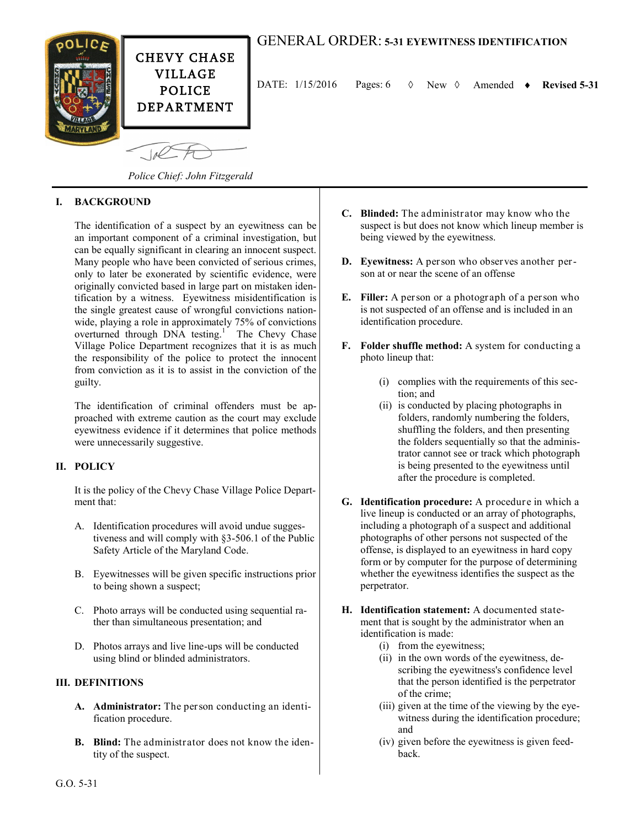

DATE:  $1/15/2016$  Pages:  $6 \quad \lozenge$  New  $\lozenge$  Amended  $\triangleright$  Revised 5-31

*Police Chief: John Fitzgerald*

## **I. BACKGROUND**

The identification of a suspect by an eyewitness can be an important component of a criminal investigation, but can be equally significant in clearing an innocent suspect. Many people who have been convicted of serious crimes, only to later be exonerated by scientific evidence, were originally convicted based in large part on mistaken identification by a witness. Eyewitness misidentification is the single greatest cause of wrongful convictions nationwide, playing a role in approximately 75% of convictions overturned through DNA testing.<sup>1</sup> The Chevy Chase Village Police Department recognizes that it is as much the responsibility of the police to protect the innocent from conviction as it is to assist in the conviction of the guilty.

The identification of criminal offenders must be approached with extreme caution as the court may exclude eyewitness evidence if it determines that police methods were unnecessarily suggestive.

### **II. POLICY**

It is the policy of the Chevy Chase Village Police Department that:

- A. Identification procedures will avoid undue suggestiveness and will comply with §3-506.1 of the Public Safety Article of the Maryland Code.
- B. Eyewitnesses will be given specific instructions prior to being shown a suspect;
- C. Photo arrays will be conducted using sequential rather than simultaneous presentation; and
- D. Photos arrays and live line-ups will be conducted using blind or blinded administrators.

### **III. DEFINITIONS**

- **A. Administrator:** The person conducting an identification procedure.
- **B. Blind:** The administrator does not know the identity of the suspect.
- **C. Blinded:** The administrator may know who the suspect is but does not know which lineup member is being viewed by the eyewitness.
- **D. Eyewitness:** A person who observes another person at or near the scene of an offense
- **E. Filler:** A person or a photograph of a person who is not suspected of an offense and is included in an identification procedure.
- **F. Folder shuffle method:** A system for conducting a photo lineup that:
	- (i) complies with the requirements of this section; and
	- (ii) is conducted by placing photographs in folders, randomly numbering the folders, shuffling the folders, and then presenting the folders sequentially so that the administrator cannot see or track which photograph is being presented to the eyewitness until after the procedure is completed.
- **G. Identification procedure:** A procedure in which a live lineup is conducted or an array of photographs, including a photograph of a suspect and additional photographs of other persons not suspected of the offense, is displayed to an eyewitness in hard copy form or by computer for the purpose of determining whether the eyewitness identifies the suspect as the perpetrator.
- **H. Identification statement:** A documented statement that is sought by the administrator when an identification is made:
	- (i) from the eyewitness;
	- (ii) in the own words of the eyewitness, describing the eyewitness's confidence level that the person identified is the perpetrator of the crime;
	- (iii) given at the time of the viewing by the eyewitness during the identification procedure; and
	- (iv) given before the eyewitness is given feedback.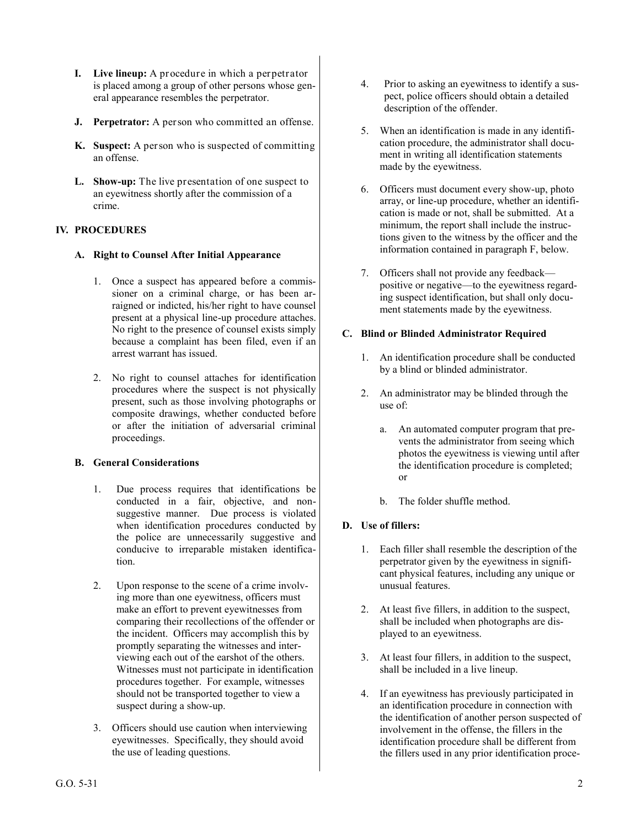- **I. Live lineup:** A procedure in which a perpetrator is placed among a group of other persons whose general appearance resembles the perpetrator.
- **J. Perpetrator:** A person who committed an offense.
- **K. Suspect:** A per son who is suspected of committing an offense.
- **L. Show-up:** The live presentation of one suspect to an eyewitness shortly after the commission of a crime.

## **IV. PROCEDURES**

### **A. Right to Counsel After Initial Appearance**

- 1. Once a suspect has appeared before a commissioner on a criminal charge, or has been arraigned or indicted, his/her right to have counsel present at a physical line-up procedure attaches. No right to the presence of counsel exists simply because a complaint has been filed, even if an arrest warrant has issued.
- 2. No right to counsel attaches for identification procedures where the suspect is not physically present, such as those involving photographs or composite drawings, whether conducted before or after the initiation of adversarial criminal proceedings.

### **B. General Considerations**

- 1. Due process requires that identifications be conducted in a fair, objective, and nonsuggestive manner. Due process is violated when identification procedures conducted by the police are unnecessarily suggestive and conducive to irreparable mistaken identification.
- 2. Upon response to the scene of a crime involving more than one eyewitness, officers must make an effort to prevent eyewitnesses from comparing their recollections of the offender or the incident. Officers may accomplish this by promptly separating the witnesses and interviewing each out of the earshot of the others. Witnesses must not participate in identification procedures together. For example, witnesses should not be transported together to view a suspect during a show-up.
- 3. Officers should use caution when interviewing eyewitnesses. Specifically, they should avoid the use of leading questions.
- 4. Prior to asking an eyewitness to identify a suspect, police officers should obtain a detailed description of the offender.
- 5. When an identification is made in any identification procedure, the administrator shall document in writing all identification statements made by the eyewitness.
- 6. Officers must document every show-up, photo array, or line-up procedure, whether an identification is made or not, shall be submitted. At a minimum, the report shall include the instructions given to the witness by the officer and the information contained in paragraph F, below.
- 7. Officers shall not provide any feedback positive or negative—to the eyewitness regarding suspect identification, but shall only document statements made by the eyewitness.

### **C. Blind or Blinded Administrator Required**

- 1. An identification procedure shall be conducted by a blind or blinded administrator.
- 2. An administrator may be blinded through the use of:
	- a. An automated computer program that prevents the administrator from seeing which photos the eyewitness is viewing until after the identification procedure is completed; or
	- b. The folder shuffle method.

## **D. Use of fillers:**

- 1. Each filler shall resemble the description of the perpetrator given by the eyewitness in significant physical features, including any unique or unusual features.
- 2. At least five fillers, in addition to the suspect, shall be included when photographs are displayed to an eyewitness.
- 3. At least four fillers, in addition to the suspect, shall be included in a live lineup.
- 4. If an eyewitness has previously participated in an identification procedure in connection with the identification of another person suspected of involvement in the offense, the fillers in the identification procedure shall be different from the fillers used in any prior identification proce-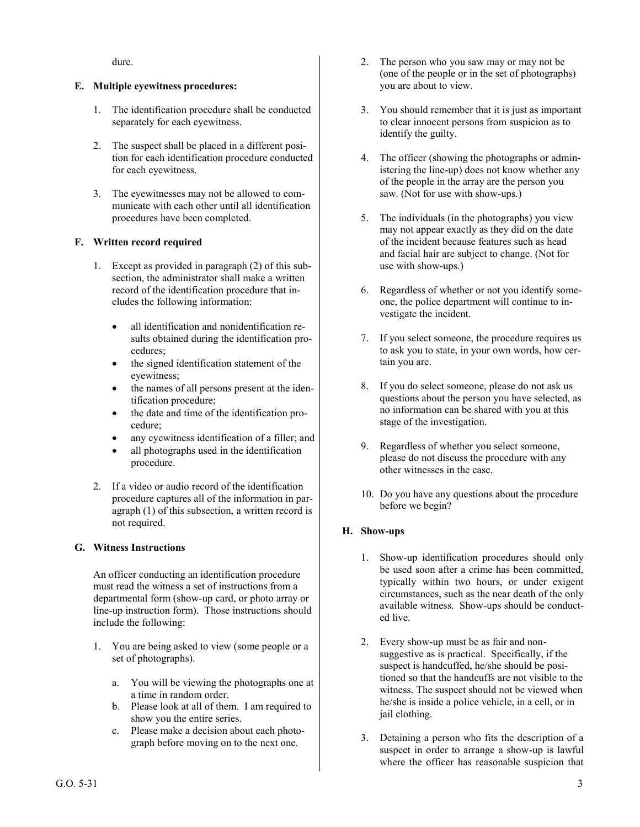dure.

### **E. Multiple eyewitness procedures:**

- 1. The identification procedure shall be conducted separately for each eyewitness.
- 2. The suspect shall be placed in a different position for each identification procedure conducted for each eyewitness.
- 3. The eyewitnesses may not be allowed to communicate with each other until all identification procedures have been completed.

### **F. Written record required**

- 1. Except as provided in paragraph (2) of this subsection, the administrator shall make a written record of the identification procedure that includes the following information:
	- all identification and nonidentification results obtained during the identification procedures;
	- the signed identification statement of the eyewitness;
	- the names of all persons present at the identification procedure;
	- the date and time of the identification procedure;
	- any eyewitness identification of a filler; and
	- all photographs used in the identification procedure.
- 2. If a video or audio record of the identification procedure captures all of the information in paragraph (1) of this subsection, a written record is not required.

### **G. Witness Instructions**

An officer conducting an identification procedure must read the witness a set of instructions from a departmental form (show-up card, or photo array or line-up instruction form). Those instructions should include the following:

- 1. You are being asked to view (some people or a set of photographs).
	- a. You will be viewing the photographs one at a time in random order.
	- b. Please look at all of them. I am required to show you the entire series.
	- c. Please make a decision about each photograph before moving on to the next one.
- 2. The person who you saw may or may not be (one of the people or in the set of photographs) you are about to view.
- 3. You should remember that it is just as important to clear innocent persons from suspicion as to identify the guilty.
- 4. The officer (showing the photographs or administering the line-up) does not know whether any of the people in the array are the person you saw. (Not for use with show-ups.)
- 5. The individuals (in the photographs) you view may not appear exactly as they did on the date of the incident because features such as head and facial hair are subject to change. (Not for use with show-ups.)
- 6. Regardless of whether or not you identify someone, the police department will continue to investigate the incident.
- 7. If you select someone, the procedure requires us to ask you to state, in your own words, how certain you are.
- 8. If you do select someone, please do not ask us questions about the person you have selected, as no information can be shared with you at this stage of the investigation.
- 9. Regardless of whether you select someone, please do not discuss the procedure with any other witnesses in the case.
- 10. Do you have any questions about the procedure before we begin?

## **H. Show-ups**

- 1. Show-up identification procedures should only be used soon after a crime has been committed, typically within two hours, or under exigent circumstances, such as the near death of the only available witness. Show-ups should be conducted live.
- 2. Every show-up must be as fair and nonsuggestive as is practical. Specifically, if the suspect is handcuffed, he/she should be positioned so that the handcuffs are not visible to the witness. The suspect should not be viewed when he/she is inside a police vehicle, in a cell, or in jail clothing.
- 3. Detaining a person who fits the description of a suspect in order to arrange a show-up is lawful where the officer has reasonable suspicion that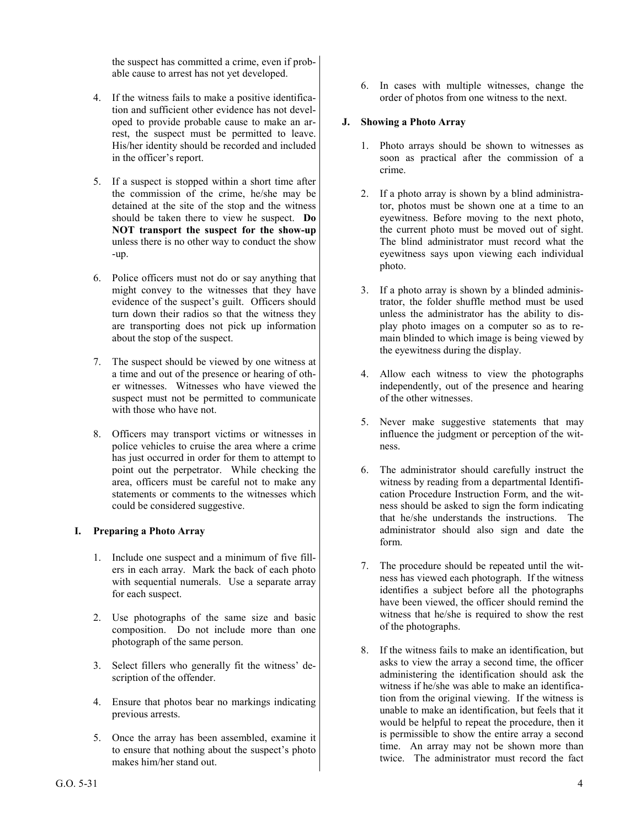the suspect has committed a crime, even if probable cause to arrest has not yet developed.

- 4. If the witness fails to make a positive identification and sufficient other evidence has not developed to provide probable cause to make an arrest, the suspect must be permitted to leave. His/her identity should be recorded and included in the officer's report.
- 5. If a suspect is stopped within a short time after the commission of the crime, he/she may be detained at the site of the stop and the witness should be taken there to view he suspect. **Do NOT transport the suspect for the show-up** unless there is no other way to conduct the show -up.
- 6. Police officers must not do or say anything that might convey to the witnesses that they have evidence of the suspect's guilt. Officers should turn down their radios so that the witness they are transporting does not pick up information about the stop of the suspect.
- 7. The suspect should be viewed by one witness at a time and out of the presence or hearing of other witnesses. Witnesses who have viewed the suspect must not be permitted to communicate with those who have not.
- 8. Officers may transport victims or witnesses in police vehicles to cruise the area where a crime has just occurred in order for them to attempt to point out the perpetrator. While checking the area, officers must be careful not to make any statements or comments to the witnesses which could be considered suggestive.

### **I. Preparing a Photo Array**

- 1. Include one suspect and a minimum of five fillers in each array. Mark the back of each photo with sequential numerals. Use a separate array for each suspect.
- 2. Use photographs of the same size and basic composition. Do not include more than one photograph of the same person.
- 3. Select fillers who generally fit the witness' description of the offender.
- 4. Ensure that photos bear no markings indicating previous arrests.
- 5. Once the array has been assembled, examine it to ensure that nothing about the suspect's photo makes him/her stand out.

6. In cases with multiple witnesses, change the order of photos from one witness to the next.

### **J. Showing a Photo Array**

- 1. Photo arrays should be shown to witnesses as soon as practical after the commission of a crime.
- 2. If a photo array is shown by a blind administrator, photos must be shown one at a time to an eyewitness. Before moving to the next photo, the current photo must be moved out of sight. The blind administrator must record what the eyewitness says upon viewing each individual photo.
- 3. If a photo array is shown by a blinded administrator, the folder shuffle method must be used unless the administrator has the ability to display photo images on a computer so as to remain blinded to which image is being viewed by the eyewitness during the display.
- 4. Allow each witness to view the photographs independently, out of the presence and hearing of the other witnesses.
- 5. Never make suggestive statements that may influence the judgment or perception of the witness.
- 6. The administrator should carefully instruct the witness by reading from a departmental Identification Procedure Instruction Form, and the witness should be asked to sign the form indicating that he/she understands the instructions. The administrator should also sign and date the form.
- 7. The procedure should be repeated until the witness has viewed each photograph. If the witness identifies a subject before all the photographs have been viewed, the officer should remind the witness that he/she is required to show the rest of the photographs.
- 8. If the witness fails to make an identification, but asks to view the array a second time, the officer administering the identification should ask the witness if he/she was able to make an identification from the original viewing. If the witness is unable to make an identification, but feels that it would be helpful to repeat the procedure, then it is permissible to show the entire array a second time. An array may not be shown more than twice. The administrator must record the fact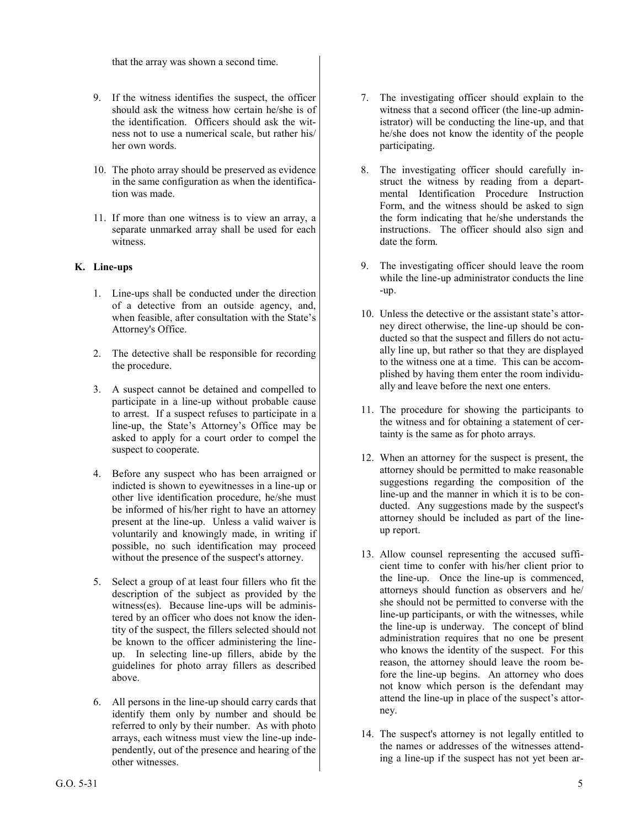that the array was shown a second time.

- 9. If the witness identifies the suspect, the officer should ask the witness how certain he/she is of the identification. Officers should ask the witness not to use a numerical scale, but rather his/ her own words.
- 10. The photo array should be preserved as evidence in the same configuration as when the identification was made.
- 11. If more than one witness is to view an array, a separate unmarked array shall be used for each witness.

# **K. Line-ups**

- 1. Line-ups shall be conducted under the direction of a detective from an outside agency, and, when feasible, after consultation with the State's Attorney's Office.
- 2. The detective shall be responsible for recording the procedure.
- 3. A suspect cannot be detained and compelled to participate in a line-up without probable cause to arrest. If a suspect refuses to participate in a line-up, the State's Attorney's Office may be asked to apply for a court order to compel the suspect to cooperate.
- 4. Before any suspect who has been arraigned or indicted is shown to eyewitnesses in a line-up or other live identification procedure, he/she must be informed of his/her right to have an attorney present at the line-up. Unless a valid waiver is voluntarily and knowingly made, in writing if possible, no such identification may proceed without the presence of the suspect's attorney.
- 5. Select a group of at least four fillers who fit the description of the subject as provided by the witness(es). Because line-ups will be administered by an officer who does not know the identity of the suspect, the fillers selected should not be known to the officer administering the lineup. In selecting line-up fillers, abide by the guidelines for photo array fillers as described above.
- 6. All persons in the line-up should carry cards that identify them only by number and should be referred to only by their number. As with photo arrays, each witness must view the line-up independently, out of the presence and hearing of the other witnesses.
- 7. The investigating officer should explain to the witness that a second officer (the line-up administrator) will be conducting the line-up, and that he/she does not know the identity of the people participating.
- 8. The investigating officer should carefully instruct the witness by reading from a departmental Identification Procedure Instruction Form, and the witness should be asked to sign the form indicating that he/she understands the instructions. The officer should also sign and date the form.
- 9. The investigating officer should leave the room while the line-up administrator conducts the line -up.
- 10. Unless the detective or the assistant state's attorney direct otherwise, the line-up should be conducted so that the suspect and fillers do not actually line up, but rather so that they are displayed to the witness one at a time. This can be accomplished by having them enter the room individually and leave before the next one enters.
- 11. The procedure for showing the participants to the witness and for obtaining a statement of certainty is the same as for photo arrays.
- 12. When an attorney for the suspect is present, the attorney should be permitted to make reasonable suggestions regarding the composition of the line-up and the manner in which it is to be conducted. Any suggestions made by the suspect's attorney should be included as part of the lineup report.
- 13. Allow counsel representing the accused sufficient time to confer with his/her client prior to the line-up. Once the line-up is commenced, attorneys should function as observers and he/ she should not be permitted to converse with the line-up participants, or with the witnesses, while the line-up is underway. The concept of blind administration requires that no one be present who knows the identity of the suspect. For this reason, the attorney should leave the room before the line-up begins. An attorney who does not know which person is the defendant may attend the line-up in place of the suspect's attorney.
- 14. The suspect's attorney is not legally entitled to the names or addresses of the witnesses attending a line-up if the suspect has not yet been ar-